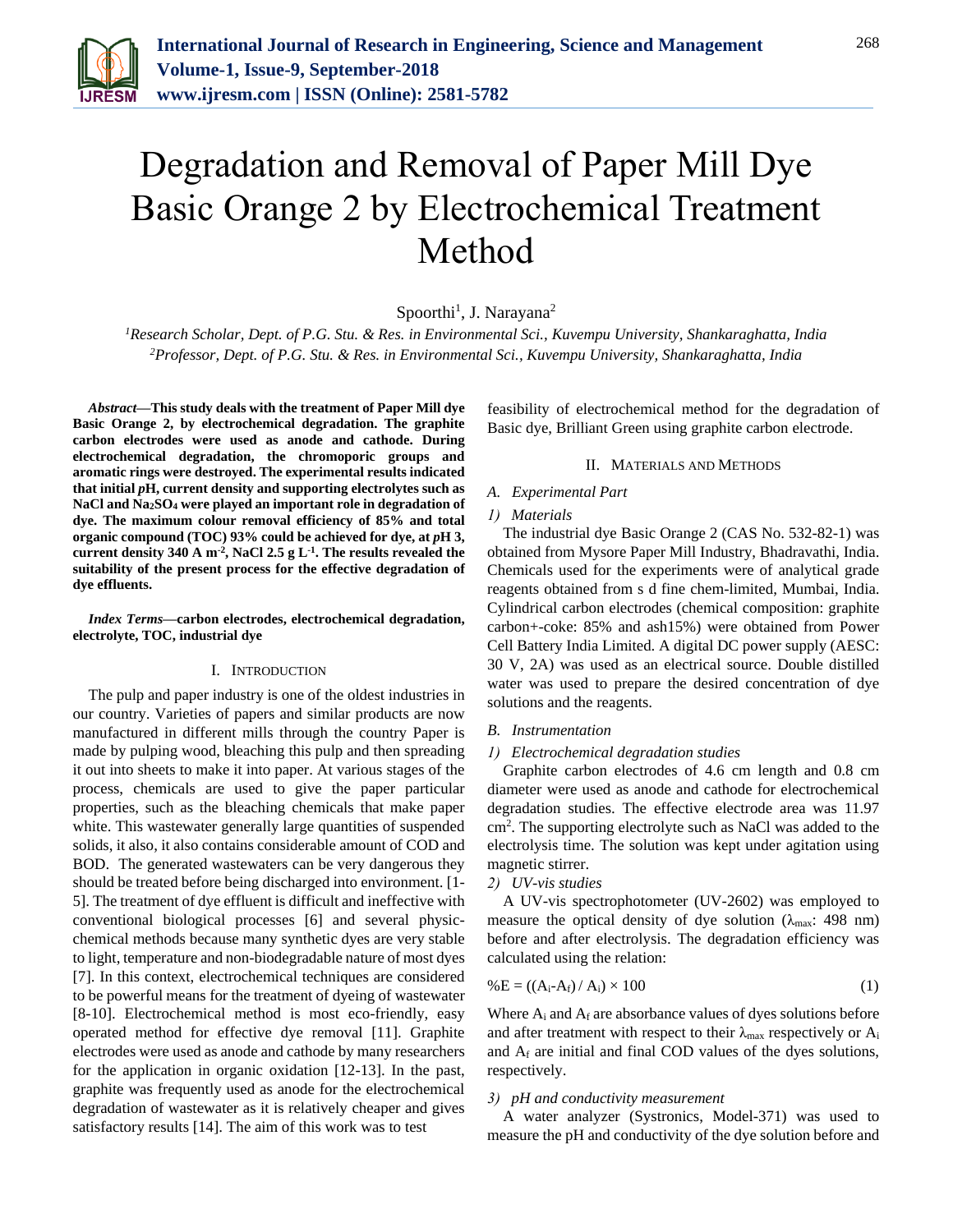

# Degradation and Removal of Paper Mill Dye Basic Orange 2 by Electrochemical Treatment Method

Spoorthi<sup>1</sup>, J. Narayana<sup>2</sup>

*<sup>1</sup>Research Scholar, Dept. of P.G. Stu. & Res. in Environmental Sci., Kuvempu University, Shankaraghatta, India <sup>2</sup>Professor, Dept. of P.G. Stu. & Res. in Environmental Sci., Kuvempu University, Shankaraghatta, India*

*Abstract***—This study deals with the treatment of Paper Mill dye Basic Orange 2, by electrochemical degradation. The graphite carbon electrodes were used as anode and cathode. During electrochemical degradation, the chromoporic groups and aromatic rings were destroyed. The experimental results indicated that initial** *p***H, current density and supporting electrolytes such as NaCl and Na2SO<sup>4</sup> were played an important role in degradation of dye. The maximum colour removal efficiency of 85% and total organic compound (TOC) 93% could be achieved for dye, at** *p***H 3, current density 340 A m-2 , NaCl 2.5 g L-1 . The results revealed the suitability of the present process for the effective degradation of dye effluents.**

*Index Terms***—carbon electrodes, electrochemical degradation, electrolyte, TOC, industrial dye**

## I. INTRODUCTION

The pulp and paper industry is one of the oldest industries in our country. Varieties of papers and similar products are now manufactured in different mills through the country Paper is made by pulping wood, bleaching this pulp and then spreading it out into sheets to make it into paper. At various stages of the process, chemicals are used to give the paper particular properties, such as the bleaching chemicals that make paper white. This wastewater generally large quantities of suspended solids, it also, it also contains considerable amount of COD and BOD. The generated wastewaters can be very dangerous they should be treated before being discharged into environment. [1- 5]. The treatment of dye effluent is difficult and ineffective with conventional biological processes [6] and several physicchemical methods because many synthetic dyes are very stable to light, temperature and non-biodegradable nature of most dyes [7]. In this context, electrochemical techniques are considered to be powerful means for the treatment of dyeing of wastewater [8-10]. Electrochemical method is most eco-friendly, easy operated method for effective dye removal [11]. Graphite electrodes were used as anode and cathode by many researchers for the application in organic oxidation [12-13]. In the past, graphite was frequently used as anode for the electrochemical degradation of wastewater as it is relatively cheaper and gives satisfactory results [14]. The aim of this work was to test

feasibility of electrochemical method for the degradation of Basic dye, Brilliant Green using graphite carbon electrode.

### II. MATERIALS AND METHODS

# *A. Experimental Part*

#### *1) Materials*

The industrial dye Basic Orange 2 (CAS No. 532-82-1) was obtained from Mysore Paper Mill Industry, Bhadravathi, India. Chemicals used for the experiments were of analytical grade reagents obtained from s d fine chem-limited, Mumbai, India. Cylindrical carbon electrodes (chemical composition: graphite carbon+-coke: 85% and ash15%) were obtained from Power Cell Battery India Limited. A digital DC power supply (AESC: 30 V, 2A) was used as an electrical source. Double distilled water was used to prepare the desired concentration of dye solutions and the reagents.

#### *B. Instrumentation*

## *1) Electrochemical degradation studies*

Graphite carbon electrodes of 4.6 cm length and 0.8 cm diameter were used as anode and cathode for electrochemical degradation studies. The effective electrode area was 11.97 cm<sup>2</sup> . The supporting electrolyte such as NaCl was added to the electrolysis time. The solution was kept under agitation using magnetic stirrer.

# *2) UV-vis studies*

A UV-vis spectrophotometer (UV-2602) was employed to measure the optical density of dye solution ( $\lambda_{\text{max}}$ : 498 nm) before and after electrolysis. The degradation efficiency was calculated using the relation:

$$
\%E = ((A_i - A_f) / A_i) \times 100 \tag{1}
$$

Where  $A_i$  and  $A_f$  are absorbance values of dyes solutions before and after treatment with respect to their  $\lambda_{\text{max}}$  respectively or  $A_i$ and  $A_f$  are initial and final COD values of the dyes solutions, respectively.

#### *3) pH and conductivity measurement*

A water analyzer (Systronics, Model-371) was used to measure the pH and conductivity of the dye solution before and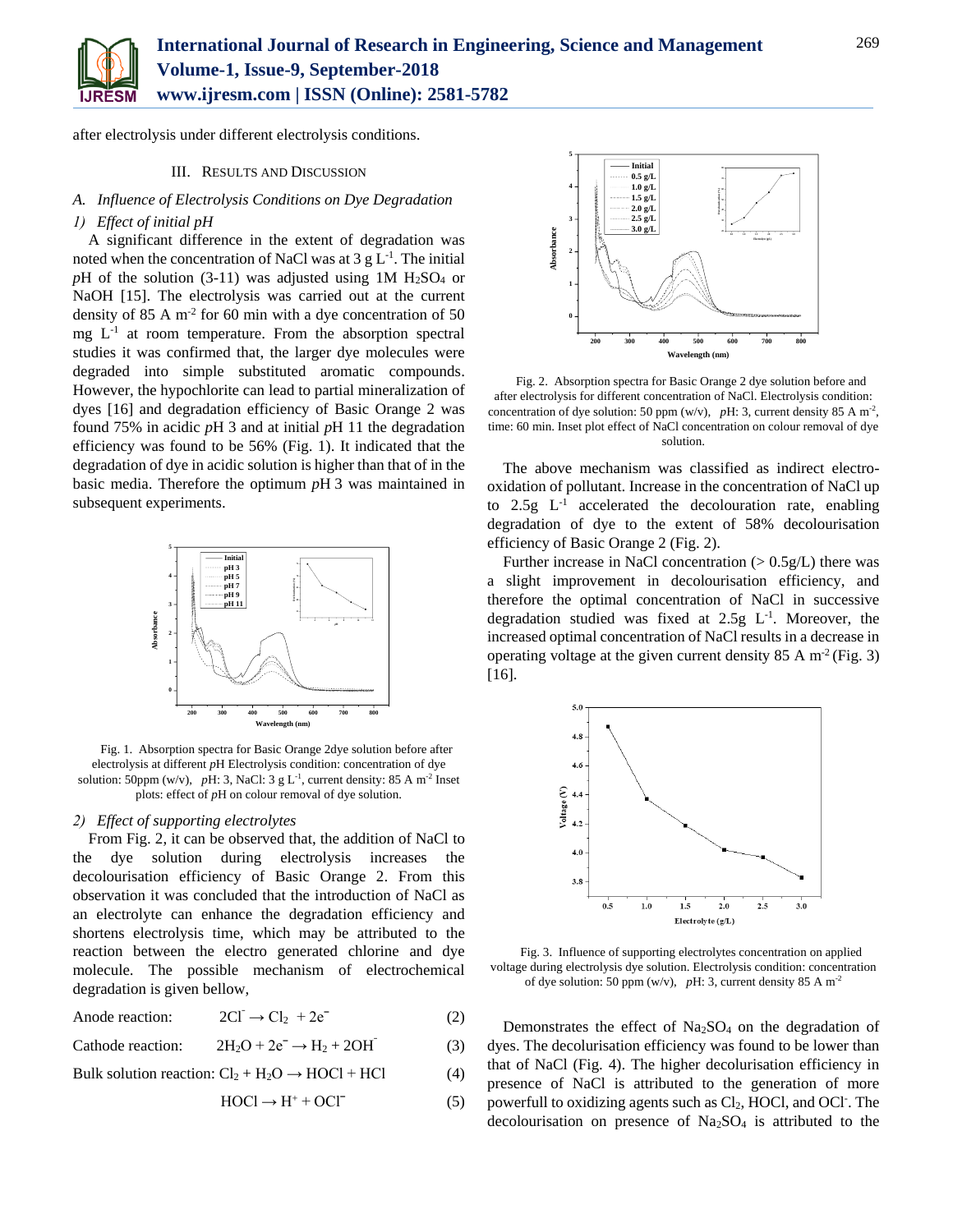

after electrolysis under different electrolysis conditions.

## III. RESULTS AND DISCUSSION

# *A. Influence of Electrolysis Conditions on Dye Degradation*

# *1) Effect of initial pH*

A significant difference in the extent of degradation was noted when the concentration of NaCl was at 3  $g L^{-1}$ . The initial  $pH$  of the solution (3-11) was adjusted using 1M  $H<sub>2</sub>SO<sub>4</sub>$  or NaOH [15]. The electrolysis was carried out at the current density of  $85 \text{ A m}^2$  for 60 min with a dye concentration of  $50$ mg L-1 at room temperature. From the absorption spectral studies it was confirmed that, the larger dye molecules were degraded into simple substituted aromatic compounds. However, the hypochlorite can lead to partial mineralization of dyes [16] and degradation efficiency of Basic Orange 2 was found 75% in acidic *p*H 3 and at initial *p*H 11 the degradation efficiency was found to be 56% (Fig. 1). It indicated that the degradation of dye in acidic solution is higher than that of in the basic media. Therefore the optimum *p*H 3 was maintained in subsequent experiments.



Fig. 1. Absorption spectra for Basic Orange 2dye solution before after electrolysis at different *p*H Electrolysis condition: concentration of dye solution: 50ppm (w/v), pH: 3, NaCl:  $3 \text{ g L}^{-1}$ , current density:  $85 \text{ A m}^{-2}$  Inset plots: effect of *p*H on colour removal of dye solution.

# *2) Effect of supporting electrolytes*

From Fig. 2, it can be observed that, the addition of NaCl to the dye solution during electrolysis increases the decolourisation efficiency of Basic Orange 2. From this observation it was concluded that the introduction of NaCl as an electrolyte can enhance the degradation efficiency and shortens electrolysis time, which may be attributed to the reaction between the electro generated chlorine and dye molecule. The possible mechanism of electrochemical degradation is given bellow,

Anode reaction:  $2CI^{-} \rightarrow Cl_{2} + 2e^{-}$  (2)

Cathode reaction:  $2H_2O + 2e^- \rightarrow H_2 + 2OH^-$ (3)

Bulk solution reaction:  $Cl_2 + H_2O \rightarrow HOCl + HCl$  (4)

$$
HOCI \to H^+ + OCI^-
$$
 (5)



Fig. 2. Absorption spectra for Basic Orange 2 dye solution before and after electrolysis for different concentration of NaCl. Electrolysis condition: concentration of dye solution: 50 ppm (w/v),  $pH: 3$ , current density 85 A m<sup>-2</sup>, time: 60 min. Inset plot effect of NaCl concentration on colour removal of dye solution.

The above mechanism was classified as indirect electrooxidation of pollutant. Increase in the concentration of NaCl up to  $2.5g$   $L^{-1}$  accelerated the decolouration rate, enabling degradation of dye to the extent of 58% decolourisation efficiency of Basic Orange 2 (Fig. 2).

Further increase in NaCl concentration  $(> 0.5g/L)$  there was a slight improvement in decolourisation efficiency, and therefore the optimal concentration of NaCl in successive degradation studied was fixed at  $2.5g$  L<sup>-1</sup>. Moreover, the increased optimal concentration of NaCl results in a decrease in operating voltage at the given current density  $85 \text{ A m}^2$  (Fig. 3) [16].



Fig. 3. Influence of supporting electrolytes concentration on applied voltage during electrolysis dye solution. Electrolysis condition: concentration of dye solution: 50 ppm (w/v),  $pH: 3$ , current density 85 A m<sup>-2</sup>

Demonstrates the effect of Na<sub>2</sub>SO<sub>4</sub> on the degradation of dyes. The decolurisation efficiency was found to be lower than that of NaCl (Fig. 4). The higher decolurisation efficiency in presence of NaCl is attributed to the generation of more powerfull to oxidizing agents such as Cl<sub>2</sub>, HOCl, and OCl<sup>-</sup>. The decolourisation on presence of  $Na<sub>2</sub>SO<sub>4</sub>$  is attributed to the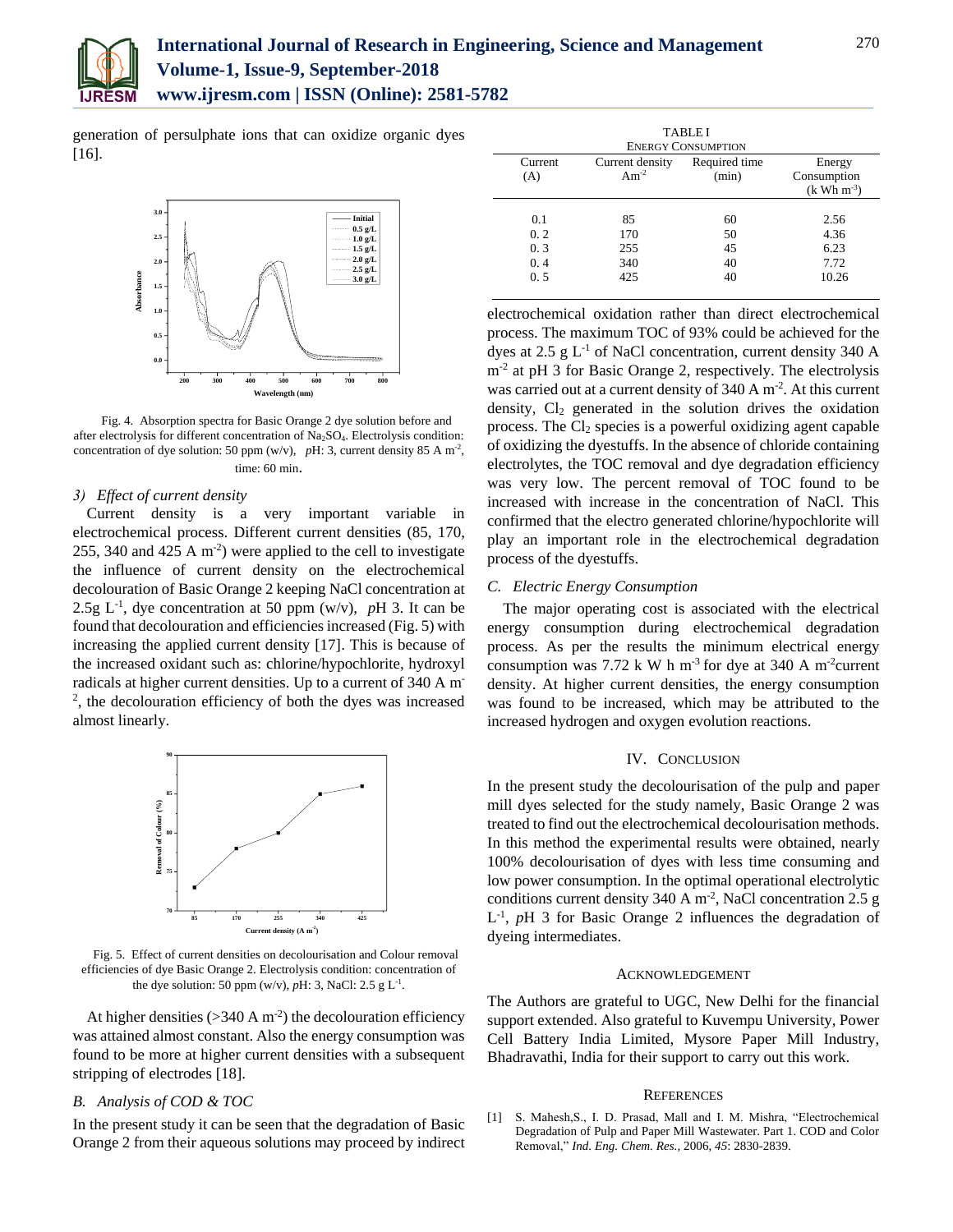

generation of persulphate ions that can oxidize organic dyes [16].



Fig. 4. Absorption spectra for Basic Orange 2 dye solution before and after electrolysis for different concentration of Na<sub>2</sub>SO<sub>4</sub>. Electrolysis condition: concentration of dye solution: 50 ppm (w/v),  $pH: 3$ , current density 85 A m<sup>-2</sup>, time: 60 min.

#### *3) Effect of current density*

Current density is a very important variable in electrochemical process. Different current densities (85, 170, 255, 340 and 425 A  $m^{-2}$ ) were applied to the cell to investigate the influence of current density on the electrochemical decolouration of Basic Orange 2 keeping NaCl concentration at 2.5g  $L^{-1}$ , dye concentration at 50 ppm (w/v), pH 3. It can be found that decolouration and efficiencies increased (Fig. 5) with increasing the applied current density [17]. This is because of the increased oxidant such as: chlorine/hypochlorite, hydroxyl radicals at higher current densities. Up to a current of 340 A m-2 , the decolouration efficiency of both the dyes was increased almost linearly.



Fig. 5. Effect of current densities on decolourisation and Colour removal efficiencies of dye Basic Orange 2. Electrolysis condition: concentration of the dye solution: 50 ppm (w/v),  $pH: 3$ , NaCl: 2.5 g L<sup>-1</sup>.

At higher densities  $( >340 \text{ A m}^2)$  the decolouration efficiency was attained almost constant. Also the energy consumption was found to be more at higher current densities with a subsequent stripping of electrodes [18].

# *B. Analysis of COD & TOC*

In the present study it can be seen that the degradation of Basic Orange 2 from their aqueous solutions may proceed by indirect

| <b>TABLEI</b><br><b>ENERGY CONSUMPTION</b> |                                |                            |                                       |
|--------------------------------------------|--------------------------------|----------------------------|---------------------------------------|
|                                            |                                |                            |                                       |
| 0.1<br>0.2<br>0.3<br>0.4<br>0.5            | 85<br>170<br>255<br>340<br>425 | 60<br>50<br>45<br>40<br>40 | 2.56<br>4.36<br>6.23<br>7.72<br>10.26 |

electrochemical oxidation rather than direct electrochemical process. The maximum TOC of 93% could be achieved for the dyes at  $2.5 \text{ g L}^{-1}$  of NaCl concentration, current density 340 A m<sup>-2</sup> at pH 3 for Basic Orange 2, respectively. The electrolysis was carried out at a current density of 340 A m<sup>-2</sup>. At this current density,  $Cl<sub>2</sub>$  generated in the solution drives the oxidation process. The Cl<sup>2</sup> species is a powerful oxidizing agent capable of oxidizing the dyestuffs. In the absence of chloride containing electrolytes, the TOC removal and dye degradation efficiency was very low. The percent removal of TOC found to be increased with increase in the concentration of NaCl. This confirmed that the electro generated chlorine/hypochlorite will play an important role in the electrochemical degradation process of the dyestuffs.

#### *C. Electric Energy Consumption*

The major operating cost is associated with the electrical energy consumption during electrochemical degradation process. As per the results the minimum electrical energy consumption was 7.72 k W h m<sup>-3</sup> for dye at 340 A m<sup>-2</sup>current density. At higher current densities, the energy consumption was found to be increased, which may be attributed to the increased hydrogen and oxygen evolution reactions.

## IV. CONCLUSION

In the present study the decolourisation of the pulp and paper mill dyes selected for the study namely, Basic Orange 2 was treated to find out the electrochemical decolourisation methods. In this method the experimental results were obtained, nearly 100% decolourisation of dyes with less time consuming and low power consumption. In the optimal operational electrolytic conditions current density 340 A  $\mathrm{m}^2$ , NaCl concentration 2.5 g L<sup>-1</sup>, *p*H 3 for Basic Orange 2 influences the degradation of dyeing intermediates.

## ACKNOWLEDGEMENT

The Authors are grateful to UGC, New Delhi for the financial support extended. Also grateful to Kuvempu University, Power Cell Battery India Limited, Mysore Paper Mill Industry, Bhadravathi, India for their support to carry out this work.

#### **REFERENCES**

[1] S. Mahesh,S., I. D. Prasad, Mall and I. M. Mishra, "Electrochemical Degradation of Pulp and Paper Mill Wastewater. Part 1. COD and Color Removal," *Ind. Eng. Chem. Res.,* 2006, *45*: 2830-2839.